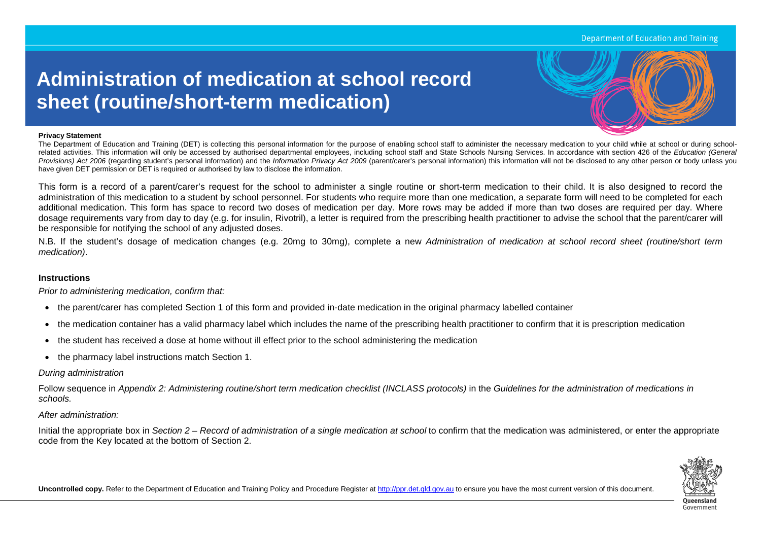#### Department of Education and Training

# **Administration of medication at school record sheet (routine/short-term medication)**



#### **Privacy Statement**

The Department of Education and Training (DET) is collecting this personal information for the purpose of enabling school staff to administer the necessary medication to your child while at school or during schoolrelated activities. This information will only be accessed by authorised departmental employees, including school staff and State Schools Nursing Services. In accordance with section 426 of the *Education (General*  Provisions) Act 2006 (regarding student's personal information) and the Information Privacy Act 2009 (parent/carer's personal information) this information will not be disclosed to any other person or body unless you have given DET permission or DET is required or authorised by law to disclose the information.

This form is a record of a parent/carer's request for the school to administer a single routine or short-term medication to their child. It is also designed to record the administration of this medication to a student by school personnel. For students who require more than one medication, a separate form will need to be completed for each additional medication. This form has space to record two doses of medication per day. More rows may be added if more than two doses are required per day. Where dosage requirements vary from day to day (e.g. for insulin, Rivotril), a letter is required from the prescribing health practitioner to advise the school that the parent/carer will be responsible for notifying the school of any adjusted doses.

N.B. If the student's dosage of medication changes (e.g. 20mg to 30mg), complete a new *Administration of medication at school record sheet (routine/short term medication)*.

## **Instructions**

*Prior to administering medication, confirm that:* 

- the parent/carer has completed Section 1 of this form and provided in-date medication in the original pharmacy labelled container
- the medication container has a valid pharmacy label which includes the name of the prescribing health practitioner to confirm that it is prescription medication
- the student has received a dose at home without ill effect prior to the school administering the medication
- the pharmacy label instructions match Section 1.

### *During administration*

Follow sequence in *Appendix 2: Administering routine/short term medication checklist (INCLASS protocols)* in the *Guidelines for the administration of medications in schools.*

### *After administration:*

Initial the appropriate box in *Section 2 – Record of administration of a single medication at school* to confirm that the medication was administered, or enter the appropriate code from the Key located at the bottom of Section 2.



**Uncontrolled copy.** Refer to the Department of Education and Training Policy and Procedure Register at [http://ppr.det.qld.gov.au](http://ppr.det.qld.gov.au/) to ensure you have the most current version of this document.